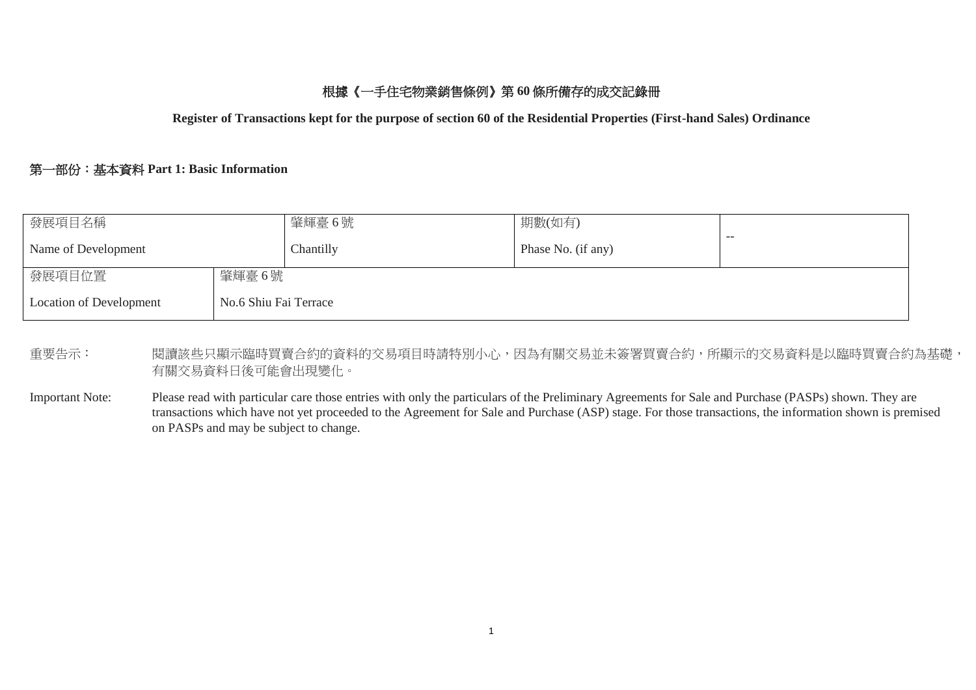# 根據《一手住宅物業銷售條例》第 **60** 條所備存的成交記錄冊

**Register of Transactions kept for the purpose of section 60 of the Residential Properties (First-hand Sales) Ordinance**

# 第一部份:基本資料 **Part 1: Basic Information**

| 發展項目名稱                  |                       | 肇輝臺6號     | 期數(如有)             |      |  |  |  |
|-------------------------|-----------------------|-----------|--------------------|------|--|--|--|
| Name of Development     |                       | Chantilly | Phase No. (if any) | $ -$ |  |  |  |
| 發展項目位置                  | 肇輝臺6號                 |           |                    |      |  |  |  |
| Location of Development | No.6 Shiu Fai Terrace |           |                    |      |  |  |  |

重要告示: 問讀該些只顯示臨時買賣合約的資料的交易項目時請特別小心,因為有關交易並未簽署買賣合約,所顯示的交易資料是以臨時買賣合約為基礎, 有關交易資料日後可能會出現變化。

Important Note: Please read with particular care those entries with only the particulars of the Preliminary Agreements for Sale and Purchase (PASPs) shown. They are transactions which have not yet proceeded to the Agreement for Sale and Purchase (ASP) stage. For those transactions, the information shown is premised on PASPs and may be subject to change.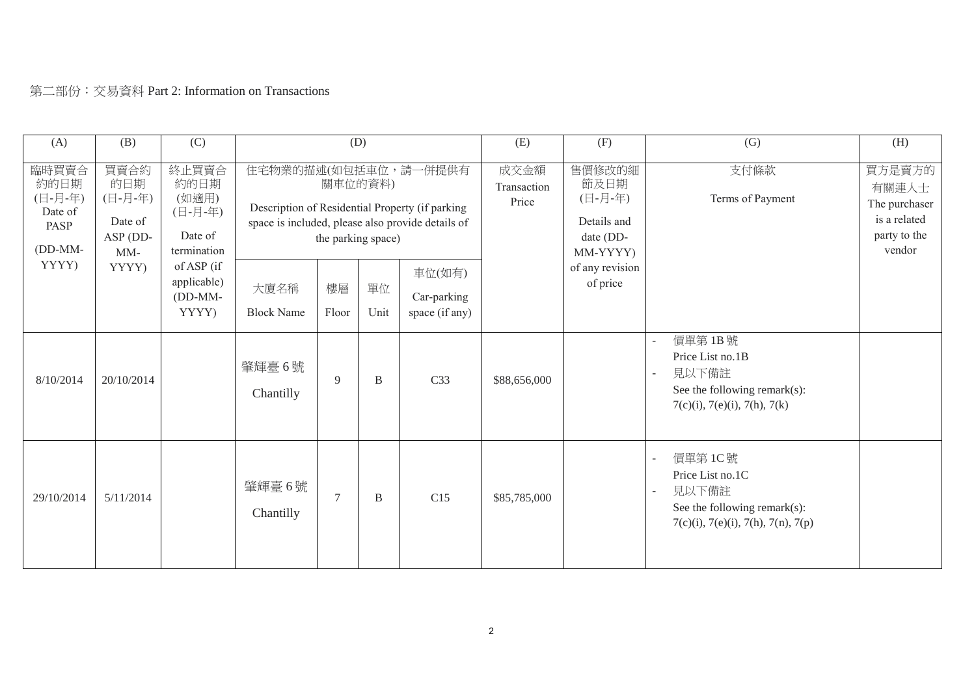# 第二部份:交易資料 Part 2: Information on Transactions

| (A)                                                                      | (B)                                                             | (C)                                                         | (D)                                                                                                                                                           |             |            |                                         | (E)                          | (F)                                                               | (G)                                                                                                                     | (H)                                                                        |
|--------------------------------------------------------------------------|-----------------------------------------------------------------|-------------------------------------------------------------|---------------------------------------------------------------------------------------------------------------------------------------------------------------|-------------|------------|-----------------------------------------|------------------------------|-------------------------------------------------------------------|-------------------------------------------------------------------------------------------------------------------------|----------------------------------------------------------------------------|
| 臨時買賣合<br>約的日期<br>(日-月-年)<br>Date of<br><b>PASP</b><br>$(DD-MM-$<br>YYYY) | 買賣合約<br>的日期<br>(日-月-年)<br>Date of<br>ASP (DD-<br>$MM-$<br>YYYY) | 終止買賣合<br>約的日期<br>(如適用)<br>(日-月-年)<br>Date of<br>termination | 住宅物業的描述(如包括車位,請一併提供有<br>關車位的資料)<br>Description of Residential Property (if parking<br>space is included, please also provide details of<br>the parking space) |             |            |                                         | 成交金額<br>Transaction<br>Price | 售價修改的細<br>節及日期<br>(日-月-年)<br>Details and<br>date (DD-<br>MM-YYYY) | 支付條款<br>Terms of Payment                                                                                                | 買方是賣方的<br>有關連人士<br>The purchaser<br>is a related<br>party to the<br>vendor |
|                                                                          |                                                                 | of ASP (if<br>applicable)<br>$(DD-MM-$<br>YYYY)             | 大廈名稱<br><b>Block Name</b>                                                                                                                                     | 樓層<br>Floor | 單位<br>Unit | 車位(如有)<br>Car-parking<br>space (if any) |                              | of any revision<br>of price                                       |                                                                                                                         |                                                                            |
| 8/10/2014                                                                | 20/10/2014                                                      |                                                             | 肇輝臺6號<br>Chantilly                                                                                                                                            | 9           | B          | C <sub>33</sub>                         | \$88,656,000                 |                                                                   | 價單第1B號<br>Price List no.1B<br>見以下備註<br>See the following remark(s):<br>$7(c)(i)$ , $7(e)(i)$ , $7(h)$ , $7(k)$          |                                                                            |
| 29/10/2014                                                               | 5/11/2014                                                       |                                                             | 肇輝臺6號<br>Chantilly                                                                                                                                            | $\tau$      | B          | C15                                     | \$85,785,000                 |                                                                   | 價單第1C號<br>Price List no.1C<br>見以下備註<br>See the following remark(s):<br>$7(c)(i)$ , $7(e)(i)$ , $7(h)$ , $7(n)$ , $7(p)$ |                                                                            |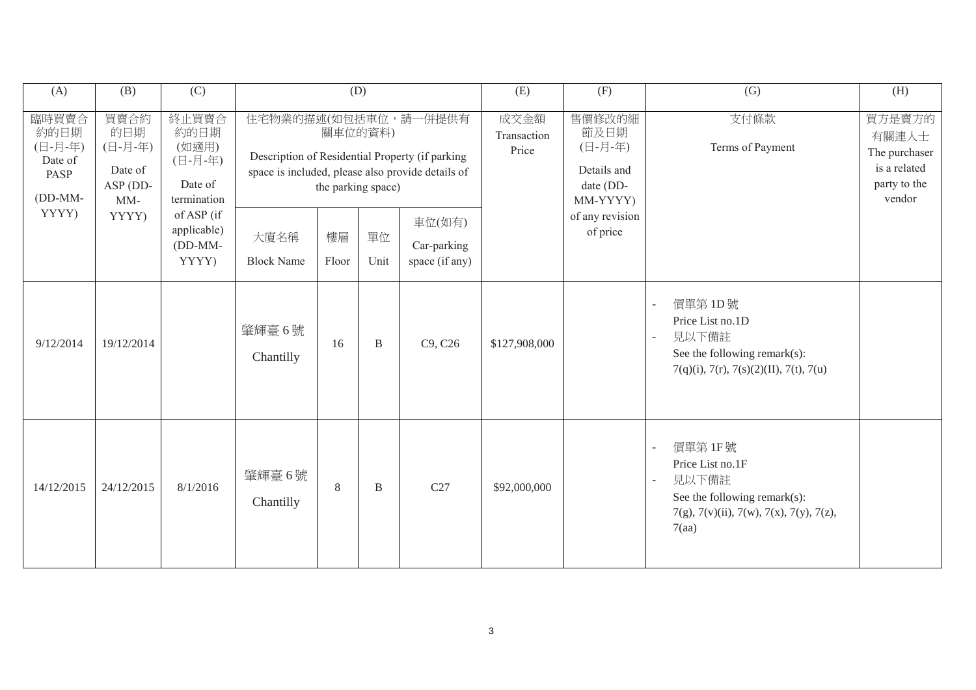| (A)                                                                                                                                       | (B)                                                         | (C)                                                                                                                                                           | (D)                       |             |            |                                         | (E)                                                               | (F)                         | (G)                                                                                                                                                                                    | (H) |
|-------------------------------------------------------------------------------------------------------------------------------------------|-------------------------------------------------------------|---------------------------------------------------------------------------------------------------------------------------------------------------------------|---------------------------|-------------|------------|-----------------------------------------|-------------------------------------------------------------------|-----------------------------|----------------------------------------------------------------------------------------------------------------------------------------------------------------------------------------|-----|
| 臨時買賣合<br>買賣合約<br>約的日期<br>的日期<br>(日-月-年)<br>(日-月-年)<br>Date of<br>Date of<br><b>PASP</b><br>ASP (DD-<br>(DD-MM-<br>$MM-$<br>YYYY)<br>YYYY) | 終止買賣合<br>約的日期<br>(如適用)<br>(日-月-年)<br>Date of<br>termination | 住宅物業的描述(如包括車位,請一併提供有<br>關車位的資料)<br>Description of Residential Property (if parking<br>space is included, please also provide details of<br>the parking space) |                           |             |            | 成交金額<br>Transaction<br>Price            | 售價修改的細<br>節及日期<br>(日-月-年)<br>Details and<br>date (DD-<br>MM-YYYY) | 支付條款<br>Terms of Payment    | 買方是賣方的<br>有關連人士<br>The purchaser<br>is a related<br>party to the<br>vendor                                                                                                             |     |
|                                                                                                                                           |                                                             | of ASP (if<br>applicable)<br>$(DD-MM-$<br>YYYY)                                                                                                               | 大廈名稱<br><b>Block Name</b> | 樓層<br>Floor | 單位<br>Unit | 車位(如有)<br>Car-parking<br>space (if any) |                                                                   | of any revision<br>of price |                                                                                                                                                                                        |     |
| 9/12/2014                                                                                                                                 | 19/12/2014                                                  |                                                                                                                                                               | 肇輝臺6號<br>Chantilly        | 16          | B          | C9, C26                                 | \$127,908,000                                                     |                             | 價單第1D號<br>$\mathbf{r}$<br>Price List no.1D<br>見以下備註<br>$\bar{a}$<br>See the following remark(s):<br>$7(q)(i)$ , $7(r)$ , $7(s)(2)(II)$ , $7(t)$ , $7(u)$                               |     |
| 14/12/2015                                                                                                                                | 24/12/2015                                                  | 8/1/2016                                                                                                                                                      | 肇輝臺6號<br>Chantilly        | 8           | B          | C27                                     | \$92,000,000                                                      |                             | 價單第 1F號<br>$\overline{\phantom{a}}$<br>Price List no.1F<br>見以下備註<br>$\mathbf{r}$<br>See the following remark(s):<br>$7(g)$ , $7(v)(ii)$ , $7(w)$ , $7(x)$ , $7(y)$ , $7(z)$ ,<br>7(aa) |     |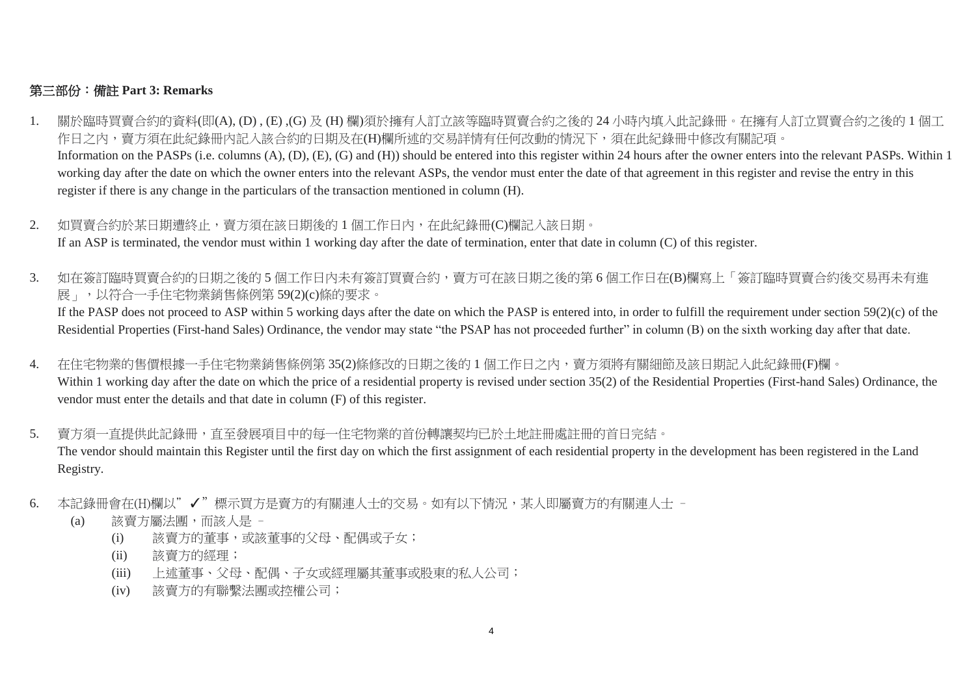# 第三部份:備註 **Part 3: Remarks**

- 1. 關於臨時買賣合約的資料(即(A), (D) , (E) ,(G) 及 (H) 欄)須於擁有人訂立該等臨時買賣合約之後的 24 小時內填入此記錄冊。在擁有人訂立買賣合約之後的 1 個工 作日之内,賣方須在此紀錄冊內記入該合約的日期及在(H)欄所述的交易詳情有任何改動的情況下,須在此紀錄冊中修改有關記項。 Information on the PASPs (i.e. columns (A), (D), (E), (G) and (H)) should be entered into this register within 24 hours after the owner enters into the relevant PASPs. Within 1 working day after the date on which the owner enters into the relevant ASPs, the vendor must enter the date of that agreement in this register and revise the entry in this register if there is any change in the particulars of the transaction mentioned in column (H).
- 2. 如買賣合約於某日期遭終止,賣方須在該日期後的 1 個工作日內, 在此紀錄冊(C)欄記入該日期。 If an ASP is terminated, the vendor must within 1 working day after the date of termination, enter that date in column (C) of this register.
- 3. 如在簽訂臨時買賣合約的日期之後的 5 個工作日內未有簽訂買賣合約,賣方可在該日期之後的第 6 個工作日在(B)欄寫上「簽訂臨時買賣合約後交易再未有進 展」,以符合一手住宅物業銷售條例第 59(2)(c)條的要求。 If the PASP does not proceed to ASP within 5 working days after the date on which the PASP is entered into, in order to fulfill the requirement under section 59(2)(c) of the Residential Properties (First-hand Sales) Ordinance, the vendor may state "the PSAP has not proceeded further" in column (B) on the sixth working day after that date.
- 4. 在住宅物業的售價根據一手住宅物業銷售條例第 35(2)條修改的日期之後的 1 個工作日之內,賣方須將有關細節及該日期記入此紀錄冊(F)欄。 Within 1 working day after the date on which the price of a residential property is revised under section 35(2) of the Residential Properties (First-hand Sales) Ordinance, the vendor must enter the details and that date in column (F) of this register.
- 5. 賣方須一直提供此記錄冊,直至發展項目中的每一住宅物業的首份轉讓契均已於土地註冊處註冊的首日完結。 The vendor should maintain this Register until the first day on which the first assignment of each residential property in the development has been registered in the Land Registry.
- 6. 本記錄冊會在(H)欄以"√"標示買方是賣方的有關連人士的交易。如有以下情況,某人即屬賣方的有關連人士 -
	- (a) 該賣方屬法團,而該人是
		- (i) 該賣方的董事,或該董事的父母、配偶或子女;
		- (ii) 該賣方的經理;
		- (iii) 上述董事、父母、配偶、子女或經理屬其董事或股東的私人公司;
		- (iv) 該賣方的有聯繫法團或控權公司;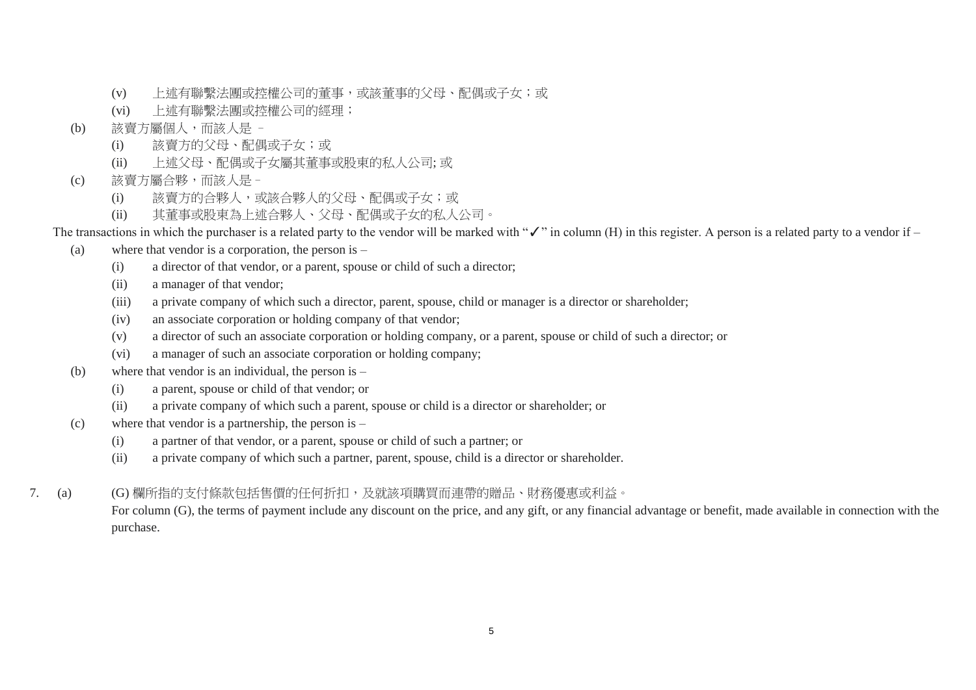- (v) 上述有聯繫法團或控權公司的董事,或該董事的父母、配偶或子女;或
- (vi) 上述有聯繫法團或控權公司的經理;
- (b) 該賣方屬個人,而該人是
	- (i) 該賣方的父母、配偶或子女;或
	- (ii) 上述父母、配偶或子女屬其董事或股東的私人公司; 或

# (c) 該賣方屬合夥,而該人是–

- (i) 該賣方的合夥人,或該合夥人的父母、配偶或子女;或
- (ii) 其董事或股東為上述合夥人、父母、配偶或子女的私人公司。

The transactions in which the purchaser is a related party to the vendor will be marked with " $\checkmark$ " in column (H) in this register. A person is a related party to a vendor if –

- (a) where that vendor is a corporation, the person is
	- (i) a director of that vendor, or a parent, spouse or child of such a director;
	- (ii) a manager of that vendor;
	- (iii) a private company of which such a director, parent, spouse, child or manager is a director or shareholder;
	- (iv) an associate corporation or holding company of that vendor;
	- (v) a director of such an associate corporation or holding company, or a parent, spouse or child of such a director; or
	- (vi) a manager of such an associate corporation or holding company;
- (b) where that vendor is an individual, the person is
	- (i) a parent, spouse or child of that vendor; or
	- (ii) a private company of which such a parent, spouse or child is a director or shareholder; or
- (c) where that vendor is a partnership, the person is
	- (i) a partner of that vendor, or a parent, spouse or child of such a partner; or
	- (ii) a private company of which such a partner, parent, spouse, child is a director or shareholder.

# 7. (a) (G)欄所指的支付條款包括售價的任何折扣,及就該項購買而連帶的贈品、財務優惠或利益。

For column (G), the terms of payment include any discount on the price, and any gift, or any financial advantage or benefit, made available in connection with the purchase.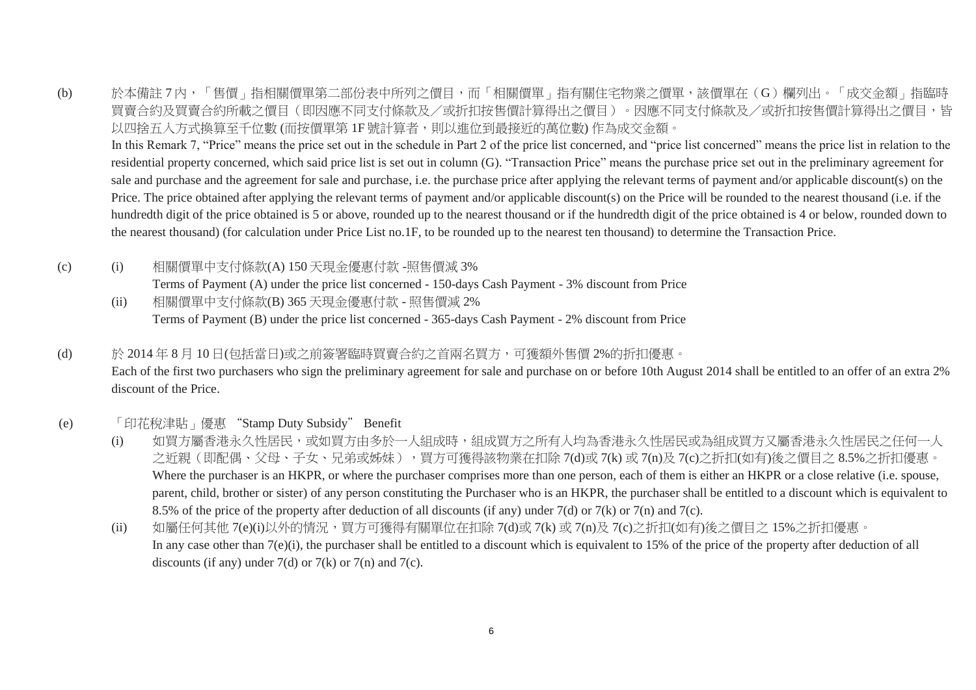(b) 於本備註 7 內,「售價」指相關價單第二部份表中所列之價目,而「相關價單」指有關住宅物業之價單,該價單在(G)欄列出。「成交金額」指臨時 買賣合約及買賣合約所載之價目(即因應不同支付條款及/或折扣按售價計算得出之價目)。因應不同支付條款及/或折扣按售價計算得出之價目,皆 以四捨五入方式換算至千位數 (而按價單第 1F 號計算者,則以進位到最接近的萬位數) 作為成交金額。

In this Remark 7, "Price" means the price set out in the schedule in Part 2 of the price list concerned, and "price list concerned" means the price list in relation to the residential property concerned, which said price list is set out in column (G). "Transaction Price" means the purchase price set out in the preliminary agreement for sale and purchase and the agreement for sale and purchase, i.e. the purchase price after applying the relevant terms of payment and/or applicable discount(s) on the Price. The price obtained after applying the relevant terms of payment and/or applicable discount(s) on the Price will be rounded to the nearest thousand (i.e. if the hundredth digit of the price obtained is 5 or above, rounded up to the nearest thousand or if the hundredth digit of the price obtained is 4 or below, rounded down to the nearest thousand) (for calculation under Price List no.1F, to be rounded up to the nearest ten thousand) to determine the Transaction Price.

(c) (i) 相關價單中支付條款(A) 150 天現金優惠付款 -照售價減 3%

Terms of Payment (A) under the price list concerned - 150-days Cash Payment - 3% discount from Price

- (ii) 相關價單中支付條款(B) 365 天現金優惠付款 照售價減 2% Terms of Payment (B) under the price list concerned - 365-days Cash Payment - 2% discount from Price
- (d) 於 2014 年 8 月 10 日(包括當日)或之前簽署臨時買賣合約之首兩名買方,可獲額外售價 2%的折扣優惠。 Each of the first two purchasers who sign the preliminary agreement for sale and purchase on or before 10th August 2014 shall be entitled to an offer of an extra 2% discount of the Price.
- (e) 「印花稅津貼」優惠 "Stamp Duty Subsidy" Benefit
	- (i) 如買方屬香港永久性居民,或如買方由多於一人組成時,組成買方之所有人均為香港永久性居民或為組成買方又屬香港永久性居民之任何一人 之近親(即配偶、父母、子女、兄弟或姊妹),買方可獲得該物業在扣除 7(d)或 7(k) 或 7(n)及 7(c)之折扣(如有)後之價目之 8.5%之折扣優惠。 Where the purchaser is an HKPR, or where the purchaser comprises more than one person, each of them is either an HKPR or a close relative (i.e. spouse, parent, child, brother or sister) of any person constituting the Purchaser who is an HKPR, the purchaser shall be entitled to a discount which is equivalent to 8.5% of the price of the property after deduction of all discounts (if any) under 7(d) or 7(k) or 7(n) and 7(c).
	- (ii) 如屬任何其他 7(e)(i)以外的情況,買方可獲得有關單位在扣除 7(d)或 7(k) 或 7(n)及 7(c)之折扣(如有)後之價目之 15%之折扣優惠。 In any case other than 7(e)(i), the purchaser shall be entitled to a discount which is equivalent to 15% of the price of the property after deduction of all discounts (if any) under  $7(d)$  or  $7(k)$  or  $7(n)$  and  $7(c)$ .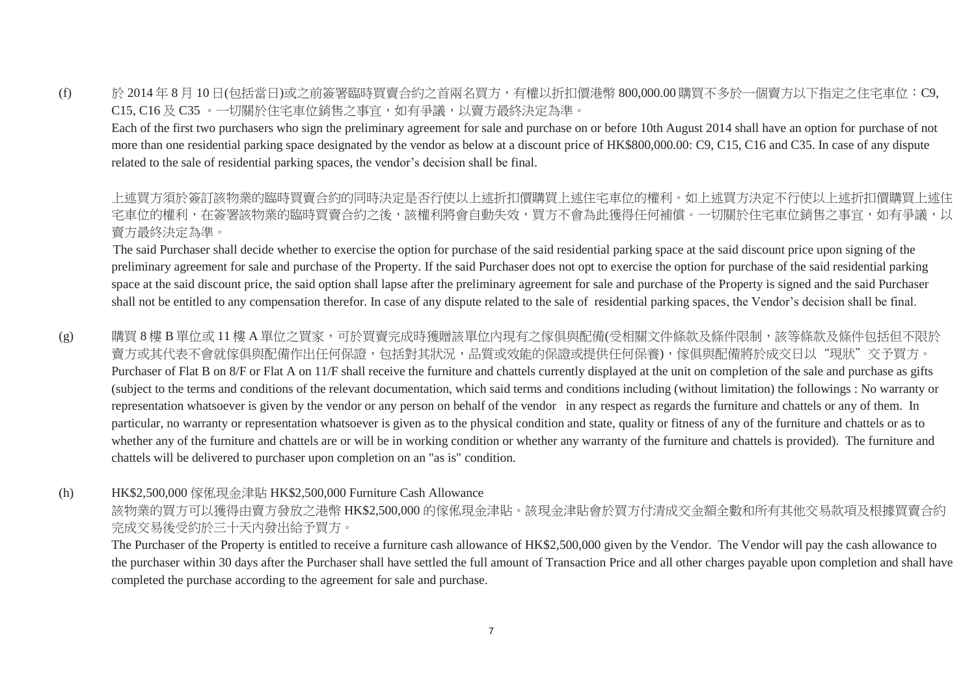(f) 於 2014 年 8 月 10 日(包括當日)或之前簽署臨時買賣合約之首兩名買方,有權以折扣價港幣 800,000.00 購買不多於一個賣方以下指定之住宅車位:C9, C15, C16 及 C35 。一切關於住宅車位銷售之事宜,如有爭議,以賣方最終決定為準。

Each of the first two purchasers who sign the preliminary agreement for sale and purchase on or before 10th August 2014 shall have an option for purchase of not more than one residential parking space designated by the vendor as below at a discount price of HK\$800,000.00: C9, C15, C16 and C35. In case of any dispute related to the sale of residential parking spaces, the vendor's decision shall be final.

上述買方須於簽訂該物業的臨時買賣合約的同時決定是否行使以上述折扣價購買上述住宅車位的權利。如上述買方決定不行使以上述折扣價購買上述住 宅車位的權利,在簽署該物業的臨時買賣合約之後,該權利將會自動失效,買方不會為此獲得任何補償。一切關於住宅車位銷售之事宜,如有爭議,以 賣方最終決定為準。

 The said Purchaser shall decide whether to exercise the option for purchase of the said residential parking space at the said discount price upon signing of the preliminary agreement for sale and purchase of the Property. If the said Purchaser does not opt to exercise the option for purchase of the said residential parking space at the said discount price, the said option shall lapse after the preliminary agreement for sale and purchase of the Property is signed and the said Purchaser shall not be entitled to any compensation therefor. In case of any dispute related to the sale of residential parking spaces, the Vendor's decision shall be final.

(g) 購買 8 樓 B 單位或 11 樓 A 單位之買家,可於買賣完成時獲贈該單位內現有之傢俱與配備(受相關文件條款及條件限制,該等條款及條件包括但不限於 賣方或其代表不會就傢俱與配備作出任何保證,包括對其狀況,品質或效能的保證或提供任何保養),傢俱與配備將於成交日以"現狀"交予買方。 Purchaser of Flat B on 8/F or Flat A on 11/F shall receive the furniture and chattels currently displayed at the unit on completion of the sale and purchase as gifts (subject to the terms and conditions of the relevant documentation, which said terms and conditions including (without limitation) the followings : No warranty or representation whatsoever is given by the vendor or any person on behalf of the vendor in any respect as regards the furniture and chattels or any of them. In particular, no warranty or representation whatsoever is given as to the physical condition and state, quality or fitness of any of the furniture and chattels or as to whether any of the furniture and chattels are or will be in working condition or whether any warranty of the furniture and chattels is provided). The furniture and chattels will be delivered to purchaser upon completion on an "as is" condition.

## (h) HK\$2,500,000 傢俬現金津貼 HK\$2,500,000 Furniture Cash Allowance

該物業的買方可以獲得由賣方發放之港幣 HK\$2,500,000 的傢俬現金津貼。該現金津貼會於買方付清成交金額全數和所有其他交易款項及根據買賣合約 完成交易後受約於三十天內發出給予買方。

The Purchaser of the Property is entitled to receive a furniture cash allowance of HK\$2,500,000 given by the Vendor. The Vendor will pay the cash allowance to the purchaser within 30 days after the Purchaser shall have settled the full amount of Transaction Price and all other charges payable upon completion and shall have completed the purchase according to the agreement for sale and purchase.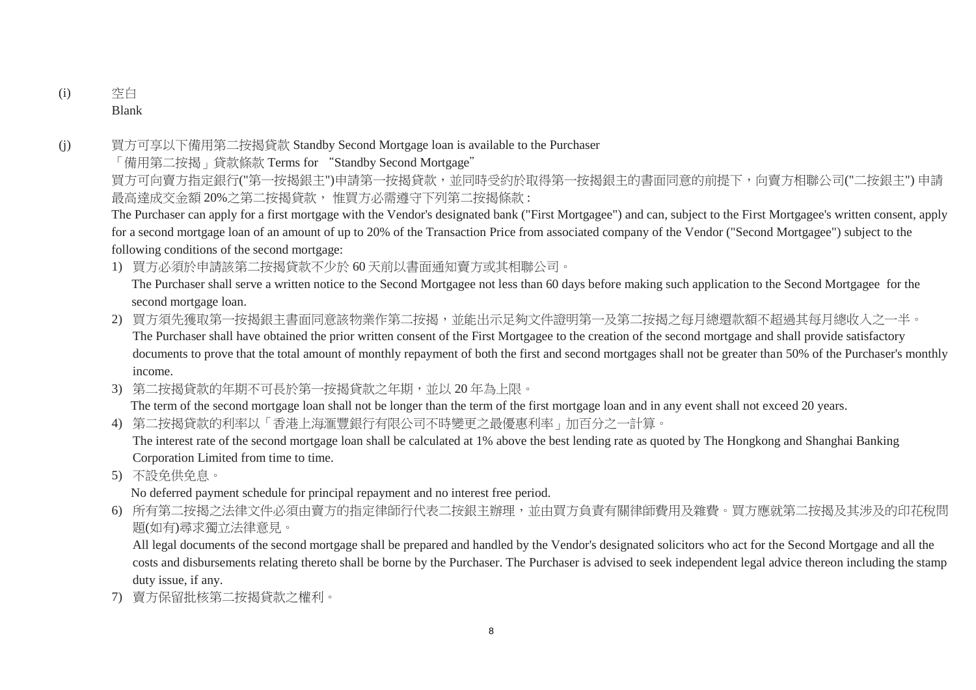(i) 空白 Blank

(j) 買方可享以下備用第二按揭貸款 Standby Second Mortgage loan is available to the Purchaser

「備用第二按揭」貸款條款 Terms for "Standby Second Mortgage"

買方可向賣方指定銀行("第一按揭銀主")申請第一按揭貸款,並同時受約於取得第一按揭銀主的書面同意的前提下,向賣方相聯公司("二按銀主") 申請 最高達成交金額 20%之第二按揭貸款, 惟買方必需遵守下列第二按揭條款:

The Purchaser can apply for a first mortgage with the Vendor's designated bank ("First Mortgagee") and can, subject to the First Mortgagee's written consent, apply for a second mortgage loan of an amount of up to 20% of the Transaction Price from associated company of the Vendor ("Second Mortgagee") subject to the following conditions of the second mortgage:

1) 買方必須於申請該第二按揭貸款不少於 60 天前以書面通知賣方或其相聯公司。

The Purchaser shall serve a written notice to the Second Mortgagee not less than 60 days before making such application to the Second Mortgagee for the second mortgage loan.

- 2) 買方須先獲取第一按揭銀主書面同意該物業作第二按揭,並能出示足夠文件證明第一及第二按揭之每月總還款額不超過其每月總收入之一半。 The Purchaser shall have obtained the prior written consent of the First Mortgagee to the creation of the second mortgage and shall provide satisfactory documents to prove that the total amount of monthly repayment of both the first and second mortgages shall not be greater than 50% of the Purchaser's monthly income.
- 3) 第二按揭貸款的年期不可長於第一按揭貸款之年期,並以 20年為上限。

The term of the second mortgage loan shall not be longer than the term of the first mortgage loan and in any event shall not exceed 20 years.

4) 第二按揭貸款的利率以「香港上海滙豐銀行有限公司不時變更之最優惠利率」加百分之一計算。

The interest rate of the second mortgage loan shall be calculated at 1% above the best lending rate as quoted by The Hongkong and Shanghai Banking Corporation Limited from time to time.

5) 不設免供免息。

No deferred payment schedule for principal repayment and no interest free period.

6) 所有第二按揭之法律文件必須由賣方的指定律師行代表二按銀主辦理,並由買方負責有關律師費用及雜費。買方應就第二按揭及其涉及的印花稅問 題(如有)尋求獨立法律意見。

All legal documents of the second mortgage shall be prepared and handled by the Vendor's designated solicitors who act for the Second Mortgage and all the costs and disbursements relating thereto shall be borne by the Purchaser. The Purchaser is advised to seek independent legal advice thereon including the stamp duty issue, if any.

7) 賣方保留批核第二按揭貸款之權利。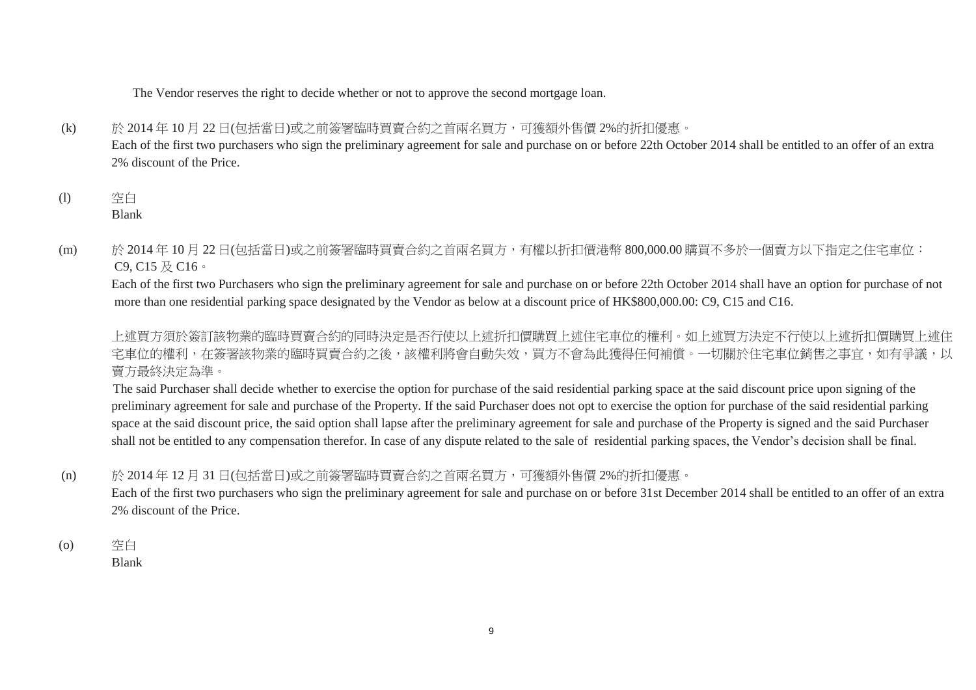The Vendor reserves the right to decide whether or not to approve the second mortgage loan.

- (k) 於 2014 年 10 月 22 日(包括當日)或之前簽署臨時買賣合約之首兩名買方,可獲額外售價 2%的折扣優惠。 Each of the first two purchasers who sign the preliminary agreement for sale and purchase on or before 22th October 2014 shall be entitled to an offer of an extra 2% discount of the Price.
- (l) 空白 Blank
- (m) 於 2014 年 10 月 22 日(包括當日)或之前簽署臨時買賣合約之首兩名買方,有權以折扣價港幣 800,000.00 購買不多於一個賣方以下指定之住宅車位: C9, C15 及 C16。

 Each of the first two Purchasers who sign the preliminary agreement for sale and purchase on or before 22th October 2014 shall have an option for purchase of not more than one residential parking space designated by the Vendor as below at a discount price of HK\$800,000.00: C9, C15 and C16.

上述買方須於簽訂該物業的臨時買賣合約的同時決定是否行使以上述折扣價購買上述住宅車位的權利。如上述買方決定不行使以上述折扣價購買上述住 字車位的權利,在簽署該物業的臨時買賣合約之後,該權利將會自動失效,買方不會為此獲得任何補償。一切關於住宅車位銷售之事宜,如有爭議,以 賣方最終決定為準。

 The said Purchaser shall decide whether to exercise the option for purchase of the said residential parking space at the said discount price upon signing of the preliminary agreement for sale and purchase of the Property. If the said Purchaser does not opt to exercise the option for purchase of the said residential parking space at the said discount price, the said option shall lapse after the preliminary agreement for sale and purchase of the Property is signed and the said Purchaser shall not be entitled to any compensation therefor. In case of any dispute related to the sale of residential parking spaces, the Vendor's decision shall be final.

(n) 於 2014 年 12 月 31 日(包括當日)或之前簽署臨時買賣合約之首兩名買方,可獲額外售價 2%的折扣優惠。

Each of the first two purchasers who sign the preliminary agreement for sale and purchase on or before 31st December 2014 shall be entitled to an offer of an extra 2% discount of the Price.

(o) 空白 Blank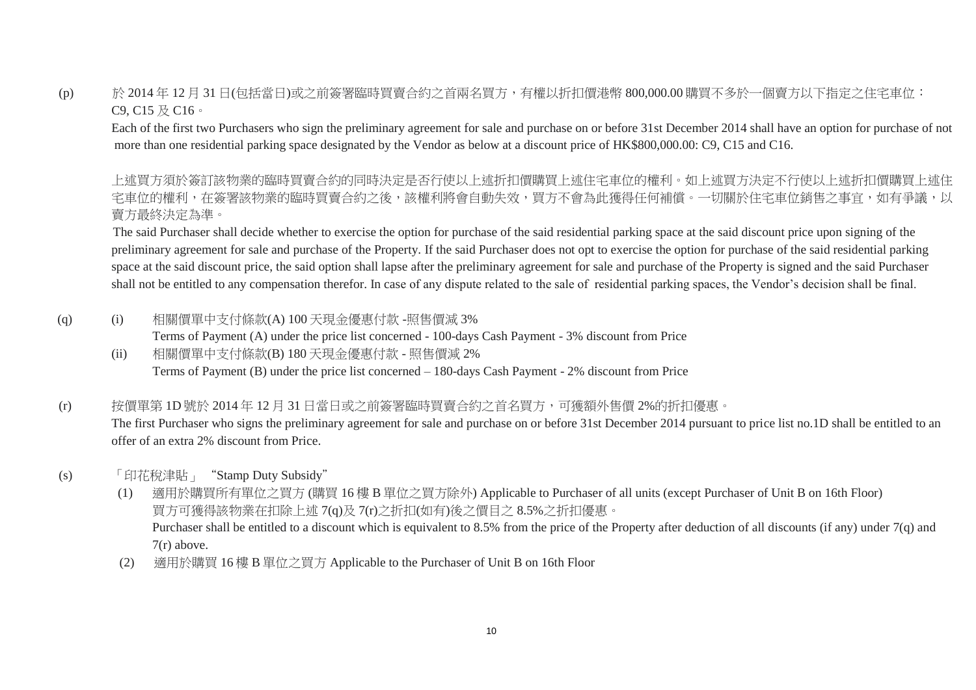(p) 於 2014 年 12 月 31 日(包括當日)或之前簽署臨時買賣合約之首兩名買方,有權以折扣價港幣 800,000.00 購買不多於一個賣方以下指定之住宅車位: C9, C15 及 C16。

 Each of the first two Purchasers who sign the preliminary agreement for sale and purchase on or before 31st December 2014 shall have an option for purchase of not more than one residential parking space designated by the Vendor as below at a discount price of HK\$800,000.00: C9, C15 and C16.

上述買方須於簽訂該物業的臨時買賣合約的同時決定是否行使以上述折扣價購買上述住宅車位的權利。如上述買方決定不行使以上述折扣價購買上述住 宅車位的權利,在簽署該物業的臨時買賣合約之後,該權利將會自動失效,買方不會為此獲得任何補償。一切關於住宅車位銷售之事宜,如有爭議,以 賣方最終決定為準。

 The said Purchaser shall decide whether to exercise the option for purchase of the said residential parking space at the said discount price upon signing of the preliminary agreement for sale and purchase of the Property. If the said Purchaser does not opt to exercise the option for purchase of the said residential parking space at the said discount price, the said option shall lapse after the preliminary agreement for sale and purchase of the Property is signed and the said Purchaser shall not be entitled to any compensation therefor. In case of any dispute related to the sale of residential parking spaces, the Vendor's decision shall be final.

- (q) (i) 相關價單中支付條款(A) 100 天現金優惠付款 -照售價減 3% Terms of Payment (A) under the price list concerned - 100-days Cash Payment - 3% discount from Price
	- (ii) 相關價單中支付條款(B) 180 天現金優惠付款 照售價減 2% Terms of Payment (B) under the price list concerned – 180-days Cash Payment - 2% discount from Price
- (r) 按價單第 1D 號於 2014 年 12 月 31 日當日或之前簽署臨時買賣合約之首名買方,可獲額外售價 2%的折扣優惠。 The first Purchaser who signs the preliminary agreement for sale and purchase on or before 31st December 2014 pursuant to price list no.1D shall be entitled to an offer of an extra 2% discount from Price.
- (s) 「印花稅津貼」 "Stamp Duty Subsidy"
	- (1) 適用於購買所有單位之買方 (購買 16 樓 B 單位之買方除外) Applicable to Purchaser of all units (except Purchaser of Unit B on 16th Floor) 買方可獲得該物業在扣除上述 7(q)及 7(r)之折扣(如有)後之價目之 8.5%之折扣優惠。 Purchaser shall be entitled to a discount which is equivalent to 8.5% from the price of the Property after deduction of all discounts (if any) under 7(q) and 7(r) above.
	- (2) 適用於購買 16 樓 B 單位之買方 Applicable to the Purchaser of Unit B on 16th Floor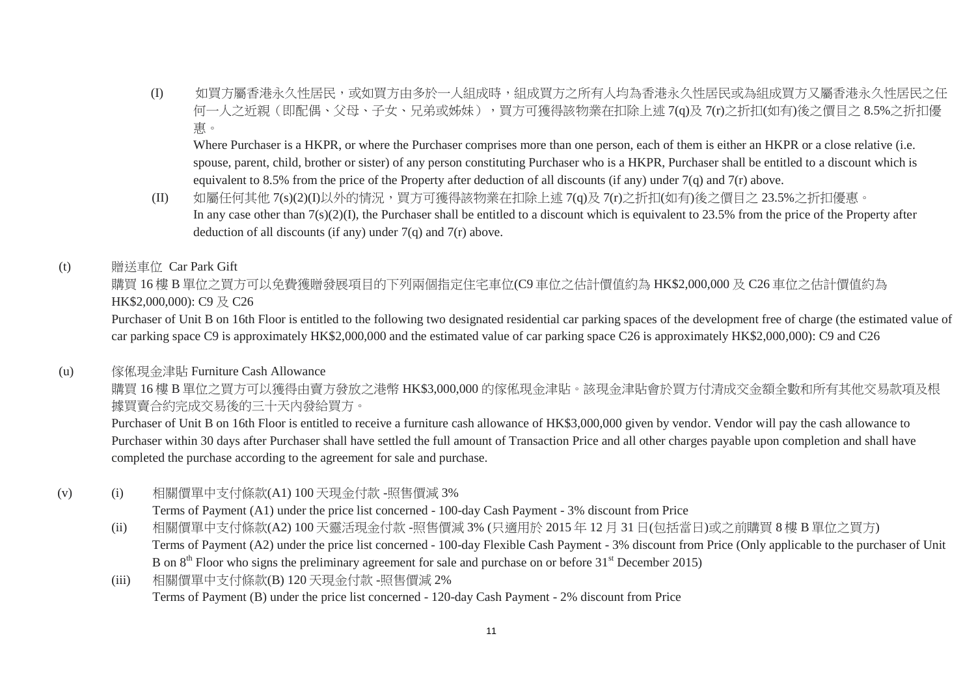(I) 如買方屬香港永久性居民,或如買方由多於一人組成時,組成買方之所有人均為香港永久性居民或為組成買方又屬香港永久性居民之任 何一人之近親(即配偶、父母、子女、兄弟或姊妹),買方可獲得該物業在扣除上述 7(q)及 7(r)之折扣(如有)後之價目之 8.5%之折扣優 惠。

Where Purchaser is a HKPR, or where the Purchaser comprises more than one person, each of them is either an HKPR or a close relative (i.e. spouse, parent, child, brother or sister) of any person constituting Purchaser who is a HKPR, Purchaser shall be entitled to a discount which is equivalent to 8.5% from the price of the Property after deduction of all discounts (if any) under 7(q) and 7(r) above.

(II) 如屬任何其他 7(s)(2)(I)以外的情況,買方可獲得該物業在扣除上述 7(q)及 7(r)之折扣(如有)後之價目之 23.5%之折扣優惠。 In any case other than  $7(s)(2)(I)$ , the Purchaser shall be entitled to a discount which is equivalent to 23.5% from the price of the Property after deduction of all discounts (if any) under  $7(q)$  and  $7(r)$  above.

### (t) 贈送車位 Car Park Gift

購買 16 樓 B 單位之買方可以免費獲贈發展項目的下列兩個指定住宅車位(C9 車位之估計價值約為 HK\$2,000,000 及 C26 車位之估計價值約為 HK\$2,000,000): C9 及 C26

Purchaser of Unit B on 16th Floor is entitled to the following two designated residential car parking spaces of the development free of charge (the estimated value of car parking space C9 is approximately HK\$2,000,000 and the estimated value of car parking space C26 is approximately HK\$2,000,000): C9 and C26

#### (u) 傢俬現金津貼 Furniture Cash Allowance

購買 16 樓 B 單位之買方可以獲得由賣方發放之港幣 HK\$3,000,000 的傢俬現金津貼。該現金津貼會於買方付清成交金額全數和所有其他交易款項及根 據買賣合約完成交易後的三十天內發給買方。

Purchaser of Unit B on 16th Floor is entitled to receive a furniture cash allowance of HK\$3,000,000 given by vendor. Vendor will pay the cash allowance to Purchaser within 30 days after Purchaser shall have settled the full amount of Transaction Price and all other charges payable upon completion and shall have completed the purchase according to the agreement for sale and purchase.

(v) (i) 相關價單中支付條款(A1) 100 天現金付款 -照售價減 3%

Terms of Payment (A1) under the price list concerned - 100-day Cash Payment - 3% discount from Price

- (ii) 相關價單中支付條款(A2) 100 天靈活現金付款 -照售價減 3% (只適用於 2015 年 12 月 31 日(包括當日)或之前購買 8 樓 B 單位之買方) Terms of Payment (A2) under the price list concerned - 100-day Flexible Cash Payment - 3% discount from Price (Only applicable to the purchaser of Unit B on  $8<sup>th</sup>$  Floor who signs the preliminary agreement for sale and purchase on or before 31<sup>st</sup> December 2015)
- (iii) 相關價單中支付條款(B) 120 天現金付款 -照售價減 2% Terms of Payment (B) under the price list concerned - 120-day Cash Payment - 2% discount from Price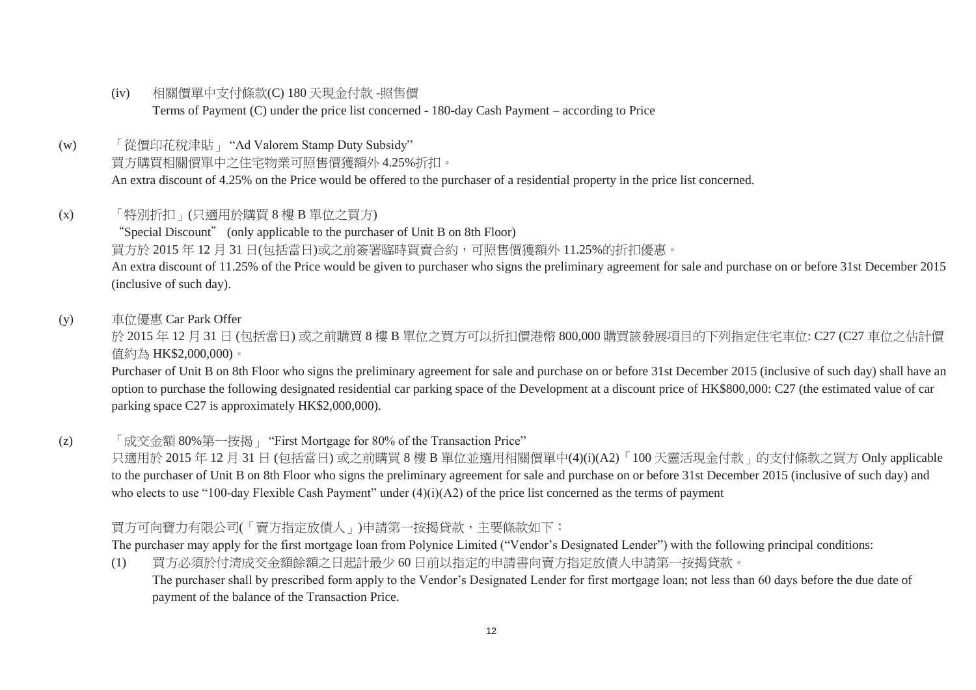- (iv) 相關價單中支付條款(C) 180 天現金付款 -照售價 Terms of Payment (C) under the price list concerned - 180-day Cash Payment – according to Price
- (w) 「從價印花稅津貼」 "Ad Valorem Stamp Duty Subsidy" 買方購買相關價單中之住宅物業可照售價獲額外 4.25%折扣。 An extra discount of 4.25% on the Price would be offered to the purchaser of a residential property in the price list concerned.

#### (x) 「特別折扣」(只適用於購買 8 樓 B 單位之買方)

"Special Discount" (only applicable to the purchaser of Unit B on 8th Floor) 買方於 2015 年 12 月 31 日(包括當日)或之前簽署臨時買賣合約,可照售價獲額外 11.25%的折扣優惠。 An extra discount of 11.25% of the Price would be given to purchaser who signs the preliminary agreement for sale and purchase on or before 31st December 2015 (inclusive of such day).

## (y) 車位優惠 Car Park Offer

於 2015 年 12 月 31 日 (包括當日) 或之前購買 8 樓 B 單位之買方可以折扣價港幣 800,000 購買該發展項目的下列指定住宅車位: C27 (C27 車位之估計價 值約為 HK\$2,000,000)。

Purchaser of Unit B on 8th Floor who signs the preliminary agreement for sale and purchase on or before 31st December 2015 (inclusive of such day) shall have an option to purchase the following designated residential car parking space of the Development at a discount price of HK\$800,000: C27 (the estimated value of car parking space C27 is approximately HK\$2,000,000).

(z) 「成交金額 80%第一按揭」 "First Mortgage for 80% of the Transaction Price"

只適用於 2015 年 12 月 31 日 (包括當日) 或之前購買 8 樓 B 單位並選用相關價單中(4)(i)(A2)「100 天靈活現金付款」的支付條款之買方 Only applicable to the purchaser of Unit B on 8th Floor who signs the preliminary agreement for sale and purchase on or before 31st December 2015 (inclusive of such day) and who elects to use "100-day Flexible Cash Payment" under (4)(i)(A2) of the price list concerned as the terms of payment

### 買方可向寶力有限公司(「賣方指定放債人」)申請第一按揭貸款,主要條款如下:

The purchaser may apply for the first mortgage loan from Polynice Limited ("Vendor's Designated Lender") with the following principal conditions:

(1) 買方必須於付清成交金額餘額之日起計最少 60 日前以指定的申請書向賣方指定放債人申請第一按揭貸款。 The purchaser shall by prescribed form apply to the Vendor's Designated Lender for first mortgage loan; not less than 60 days before the due date of payment of the balance of the Transaction Price.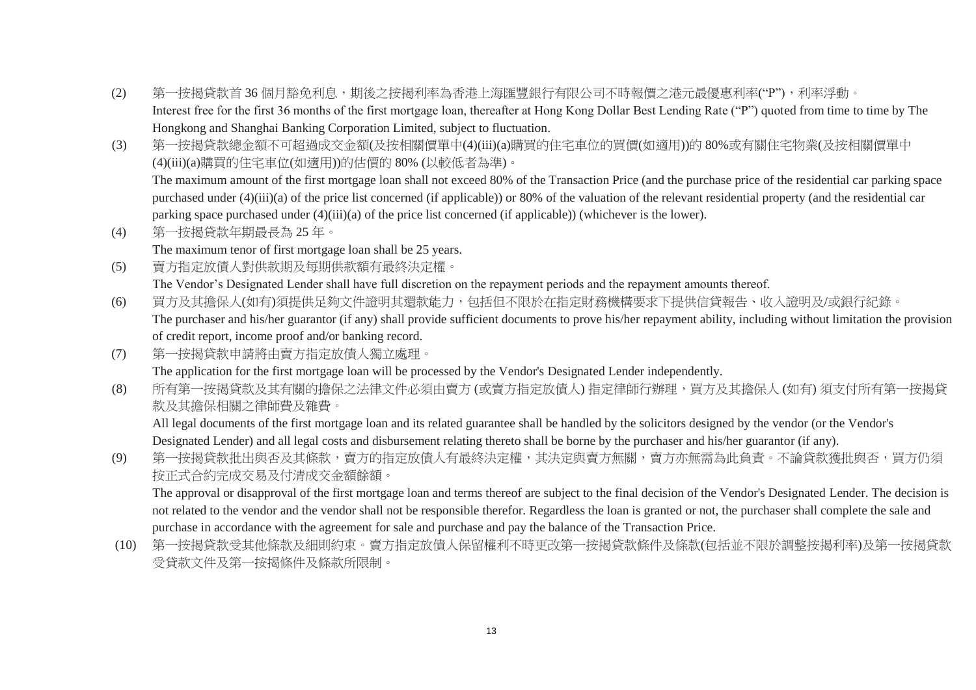- (2) 第一按揭貸款首 36 個月豁免利息,期後之按揭利率為香港上海匯豐銀行有限公司不時報價之港元最優惠利率("P"),利率浮動。 Interest free for the first 36 months of the first mortgage loan, thereafter at Hong Kong Dollar Best Lending Rate ("P") quoted from time to time by The Hongkong and Shanghai Banking Corporation Limited, subject to fluctuation.
- (3) 第一按揭貸款總金額不可超過成交金額(及按相關價單中(4)(iii)(a)購買的住宅車位的買價(如適用))的 80%或有關住宅物業(及按相關價單中 (4)(iii)(a)購買的住宅車位(如適用))的估價的 80% (以較低者為準)。 The maximum amount of the first mortgage loan shall not exceed 80% of the Transaction Price (and the purchase price of the residential car parking space purchased under (4)(iii)(a) of the price list concerned (if applicable)) or 80% of the valuation of the relevant residential property (and the residential car parking space purchased under (4)(iii)(a) of the price list concerned (if applicable)) (whichever is the lower).
- (4) 第一按揭貸款年期最長為 25 年。

The maximum tenor of first mortgage loan shall be 25 years.

- (5) 賣方指定放債人對供款期及每期供款額有最終決定權。 The Vendor's Designated Lender shall have full discretion on the repayment periods and the repayment amounts thereof.
- (6) 買方及其擔保人(如有)須提供足夠文件證明其還款能力,包括但不限於在指定財務機構要求下提供信貸報告、收入證明及/或銀行紀錄。 The purchaser and his/her guarantor (if any) shall provide sufficient documents to prove his/her repayment ability, including without limitation the provision of credit report, income proof and/or banking record.
- (7) 第一按揭貸款申請將由賣方指定放債人獨立處理。

The application for the first mortgage loan will be processed by the Vendor's Designated Lender independently.

(8) 所有第一按揭貸款及其有關的擔保之法律文件必須由賣方 (或賣方指定放債人) 指定律師行辦理,買方及其擔保人 (如有) 須支付所有第一按揭貸 款及其擔保相關之律師費及雜費。

All legal documents of the first mortgage loan and its related guarantee shall be handled by the solicitors designed by the vendor (or the Vendor's Designated Lender) and all legal costs and disbursement relating thereto shall be borne by the purchaser and his/her guarantor (if any).

(9) 第一按揭貸款批出與否及其條款,賣方的指定放債人有最終決定權,其決定與賣方無關,賣方亦無需為此負責。不論貸款獲批與否,買方仍須 按正式合約完成交易及付清成交金額餘額。

The approval or disapproval of the first mortgage loan and terms thereof are subject to the final decision of the Vendor's Designated Lender. The decision is not related to the vendor and the vendor shall not be responsible therefor. Regardless the loan is granted or not, the purchaser shall complete the sale and purchase in accordance with the agreement for sale and purchase and pay the balance of the Transaction Price.

(10) 第一按揭貸款受其他條款及細則約束。賣方指定放債人保留權利不時更改第一按揭貸款條件及條款(包括並不限於調整按揭利率)及第一按揭貸款 受貸款文件及第一按揭條件及條款所限制。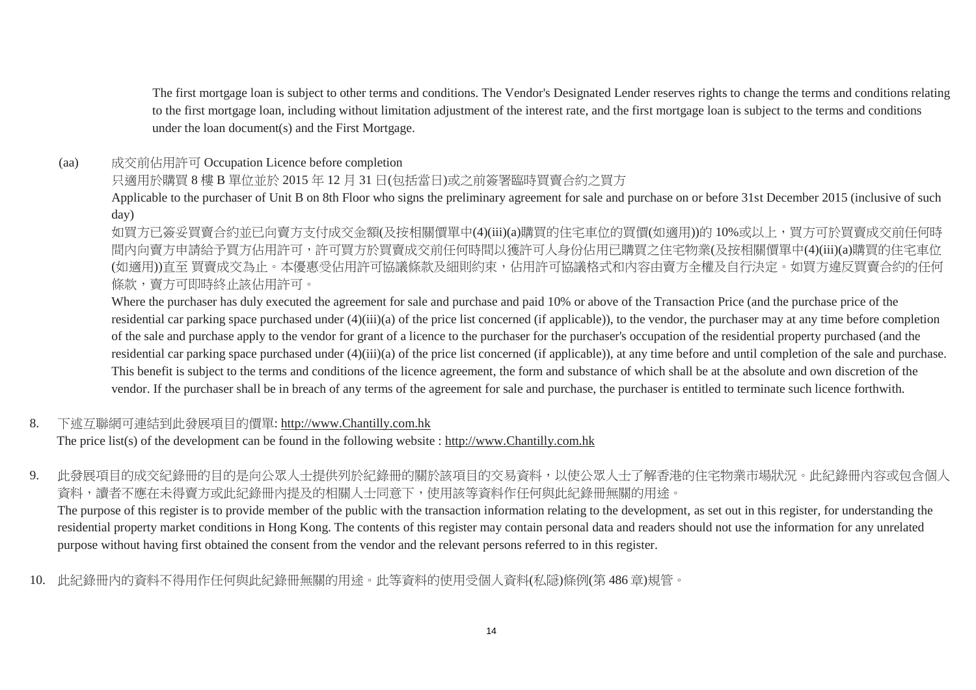The first mortgage loan is subject to other terms and conditions. The Vendor's Designated Lender reserves rights to change the terms and conditions relating to the first mortgage loan, including without limitation adjustment of the interest rate, and the first mortgage loan is subject to the terms and conditions under the loan document(s) and the First Mortgage.

## (aa) 成交前佔用許可 Occupation Licence before completion

# 只適用於購買 8 樓 B 單位並於 2015 年 12 月 31 日(包括當日)或之前簽署臨時買賣合約之買方

Applicable to the purchaser of Unit B on 8th Floor who signs the preliminary agreement for sale and purchase on or before 31st December 2015 (inclusive of such day)

如買方已簽妥買賣合約並已向賣方支付成交金額(及按相關價單中(4)(iii)(a)購買的住宅車位的買價(如適用))的 10%或以上,買方可於買賣成交前任何時 間內向賣方申請給予買方佔用許可,許可買方於買賣成交前任何時間以獲許可人身份佔用已購買之住宅物業(及按相關價單中(4)(iii)(a)購買的住宅車位 (如適用))直至 買賣成交為止。本優惠受佔用許可協議條款及細則約束,佔用許可協議格式和內容由賣方全權及自行決定。如買方違反買賣合約的任何 條款,賣方可即時終止該佔用許可。

Where the purchaser has duly executed the agreement for sale and purchase and paid 10% or above of the Transaction Price (and the purchase price of the residential car parking space purchased under (4)(iii)(a) of the price list concerned (if applicable)), to the vendor, the purchaser may at any time before completion of the sale and purchase apply to the vendor for grant of a licence to the purchaser for the purchaser's occupation of the residential property purchased (and the residential car parking space purchased under (4)(iii)(a) of the price list concerned (if applicable)), at any time before and until completion of the sale and purchase. This benefit is subject to the terms and conditions of the licence agreement, the form and substance of which shall be at the absolute and own discretion of the vendor. If the purchaser shall be in breach of any terms of the agreement for sale and purchase, the purchaser is entitled to terminate such licence forthwith.

#### 8. 下述互聯網可連結到此發展項目的價單: [http://www.Chantilly.com.hk](http://www.chantilly.com.hk/)

The price list(s) of the development can be found in the following website : [http://www.Chantilly.com.hk](http://www.chantilly.com.hk/)

9. 此發展項目的成交紀錄冊的目的是向公眾人士提供列於紀錄冊的關於該項目的交易資料,以使公眾人士了解香港的住宅物業市場狀況。此紀錄冊內容或包含個人 資料,讀者不應在未得賣方或此紀錄冊內提及的相關人士同意下,使用該等資料作任何與此紀錄冊無關的用途。

The purpose of this register is to provide member of the public with the transaction information relating to the development, as set out in this register, for understanding the residential property market conditions in Hong Kong. The contents of this register may contain personal data and readers should not use the information for any unrelated purpose without having first obtained the consent from the vendor and the relevant persons referred to in this register.

# 10. 此紀錄冊內的資料不得用作任何與此紀錄冊無關的用途。此等資料的使用受個人資料(私隠)條例(第 486 章)規管。